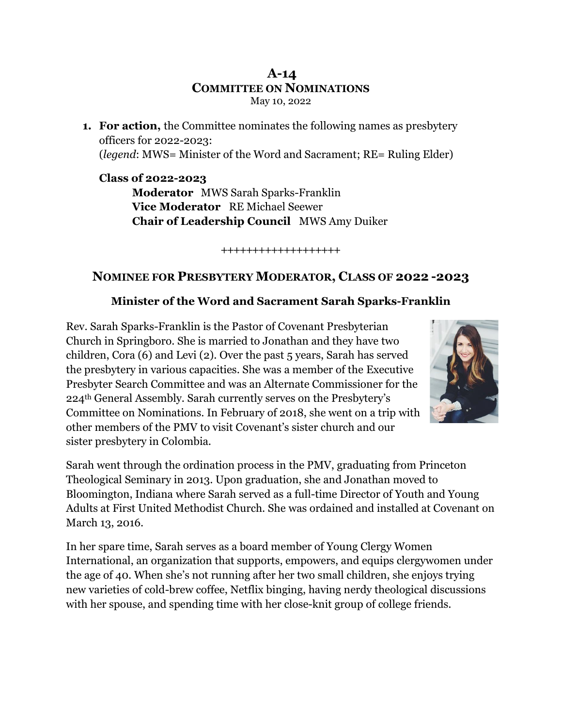#### **A-14 COMMITTEE ON NOMINATIONS** May 10, 2022

**1. For action,** the Committee nominates the following names as presbytery officers for 2022-2023: (*legend*: MWS= Minister of the Word and Sacrament; RE= Ruling Elder)

**Class of 2022-2023 Moderator** MWS Sarah Sparks-Franklin **Vice Moderator** RE Michael Seewer **Chair of Leadership Council** MWS Amy Duiker

**+++++++++++++++++++**

# **NOMINEE FOR PRESBYTERY MODERATOR, CLASS OF 2022 -2023**

#### **Minister of the Word and Sacrament Sarah Sparks-Franklin**

Rev. Sarah Sparks-Franklin is the Pastor of Covenant Presbyterian Church in Springboro. She is married to Jonathan and they have two children, Cora (6) and Levi (2). Over the past 5 years, Sarah has served the presbytery in various capacities. She was a member of the Executive Presbyter Search Committee and was an Alternate Commissioner for the 224th General Assembly. Sarah currently serves on the Presbytery's Committee on Nominations. In February of 2018, she went on a trip with other members of the PMV to visit Covenant's sister church and our sister presbytery in Colombia.



Sarah went through the ordination process in the PMV, graduating from Princeton Theological Seminary in 2013. Upon graduation, she and Jonathan moved to Bloomington, Indiana where Sarah served as a full-time Director of Youth and Young Adults at First United Methodist Church. She was ordained and installed at Covenant on March 13, 2016.

In her spare time, Sarah serves as a board member of Young Clergy Women International, an organization that supports, empowers, and equips clergywomen under the age of 40. When she's not running after her two small children, she enjoys trying new varieties of cold-brew coffee, Netflix binging, having nerdy theological discussions with her spouse, and spending time with her close-knit group of college friends.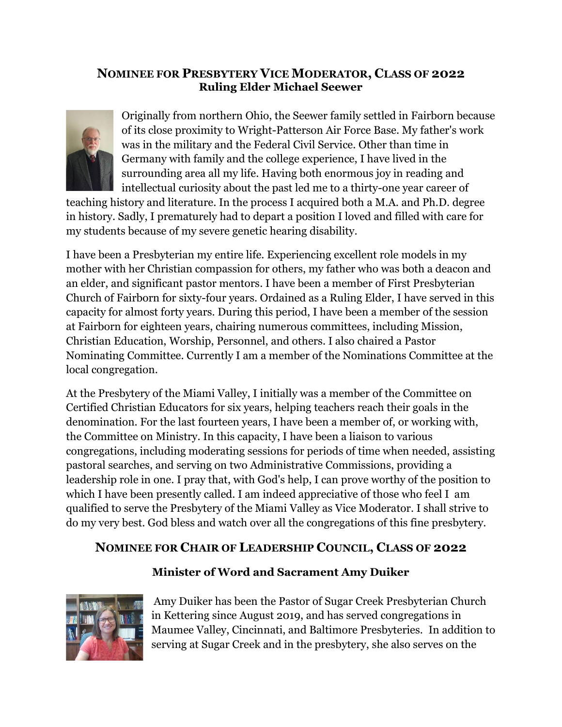## **NOMINEE FOR PRESBYTERY VICE MODERATOR, CLASS OF 2022 Ruling Elder Michael Seewer**



Originally from northern Ohio, the Seewer family settled in Fairborn because of its close proximity to Wright-Patterson Air Force Base. My father's work was in the military and the Federal Civil Service. Other than time in Germany with family and the college experience, I have lived in the surrounding area all my life. Having both enormous joy in reading and intellectual curiosity about the past led me to a thirty-one year career of

teaching history and literature. In the process I acquired both a M.A. and Ph.D. degree in history. Sadly, I prematurely had to depart a position I loved and filled with care for my students because of my severe genetic hearing disability.

I have been a Presbyterian my entire life. Experiencing excellent role models in my mother with her Christian compassion for others, my father who was both a deacon and an elder, and significant pastor mentors. I have been a member of First Presbyterian Church of Fairborn for sixty-four years. Ordained as a Ruling Elder, I have served in this capacity for almost forty years. During this period, I have been a member of the session at Fairborn for eighteen years, chairing numerous committees, including Mission, Christian Education, Worship, Personnel, and others. I also chaired a Pastor Nominating Committee. Currently I am a member of the Nominations Committee at the local congregation.

At the Presbytery of the Miami Valley, I initially was a member of the Committee on Certified Christian Educators for six years, helping teachers reach their goals in the denomination. For the last fourteen years, I have been a member of, or working with, the Committee on Ministry. In this capacity, I have been a liaison to various congregations, including moderating sessions for periods of time when needed, assisting pastoral searches, and serving on two Administrative Commissions, providing a leadership role in one. I pray that, with God's help, I can prove worthy of the position to which I have been presently called. I am indeed appreciative of those who feel I am qualified to serve the Presbytery of the Miami Valley as Vice Moderator. I shall strive to do my very best. God bless and watch over all the congregations of this fine presbytery.

# **NOMINEE FOR CHAIR OF LEADERSHIP COUNCIL, CLASS OF 2022**

# **Minister of Word and Sacrament Amy Duiker**



Amy Duiker has been the Pastor of Sugar Creek Presbyterian Church in Kettering since August 2019, and has served congregations in Maumee Valley, Cincinnati, and Baltimore Presbyteries. In addition to serving at Sugar Creek and in the presbytery, she also serves on the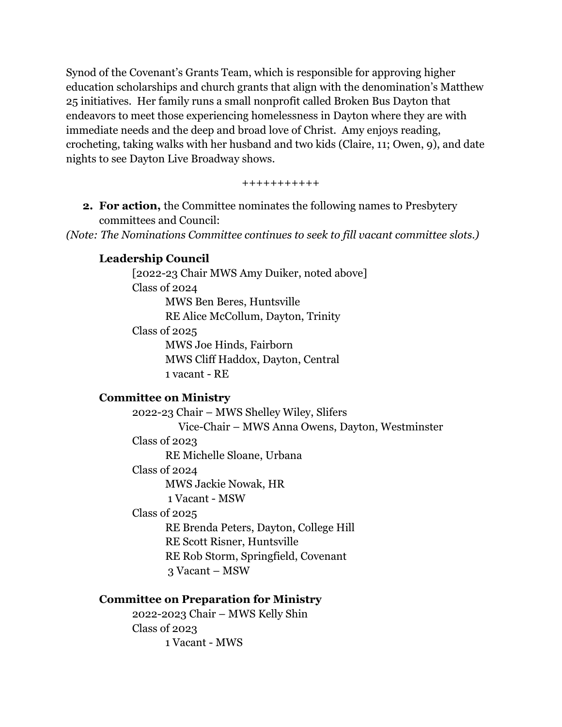Synod of the Covenant's Grants Team, which is responsible for approving higher education scholarships and church grants that align with the denomination's Matthew 25 initiatives. Her family runs a small nonprofit called Broken Bus Dayton that endeavors to meet those experiencing homelessness in Dayton where they are with immediate needs and the deep and broad love of Christ. Amy enjoys reading, crocheting, taking walks with her husband and two kids (Claire, 11; Owen, 9), and date nights to see Dayton Live Broadway shows.

+++++++++++

**2. For action,** the Committee nominates the following names to Presbytery committees and Council:

*(Note: The Nominations Committee continues to seek to fill vacant committee slots.)*

### **Leadership Council**

[2022-23 Chair MWS Amy Duiker, noted above] Class of 2024 MWS Ben Beres, Huntsville RE Alice McCollum, Dayton, Trinity Class of 2025 MWS Joe Hinds, Fairborn MWS Cliff Haddox, Dayton, Central 1 vacant - RE

#### **Committee on Ministry**

2022-23 Chair – MWS Shelley Wiley, Slifers Vice-Chair – MWS Anna Owens, Dayton, Westminster Class of 2023 RE Michelle Sloane, Urbana Class of 2024 MWS Jackie Nowak, HR 1 Vacant - MSW Class of 2025 RE Brenda Peters, Dayton, College Hill RE Scott Risner, Huntsville RE Rob Storm, Springfield, Covenant 3 Vacant – MSW

#### **Committee on Preparation for Ministry**

2022-2023 Chair – MWS Kelly Shin Class of 2023 1 Vacant - MWS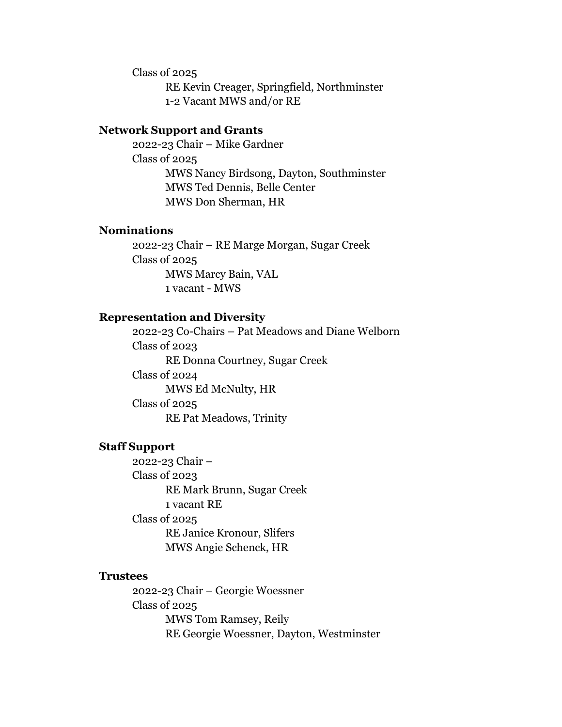Class of 2025

RE Kevin Creager, Springfield, Northminster 1-2 Vacant MWS and/or RE

#### **Network Support and Grants**

2022-23 Chair – Mike Gardner Class of 2025 MWS Nancy Birdsong, Dayton, Southminster MWS Ted Dennis, Belle Center MWS Don Sherman, HR

#### **Nominations**

2022-23 Chair – RE Marge Morgan, Sugar Creek Class of 2025 MWS Marcy Bain, VAL 1 vacant - MWS

#### **Representation and Diversity**

2022-23 Co-Chairs – Pat Meadows and Diane Welborn Class of 2023 RE Donna Courtney, Sugar Creek Class of 2024 MWS Ed McNulty, HR Class of 2025 RE Pat Meadows, Trinity

#### **Staff Support**

2022-23 Chair – Class of 2023 RE Mark Brunn, Sugar Creek 1 vacant RE Class of 2025 RE Janice Kronour, Slifers MWS Angie Schenck, HR

#### **Trustees**

2022-23 Chair – Georgie Woessner Class of 2025 MWS Tom Ramsey, Reily RE Georgie Woessner, Dayton, Westminster